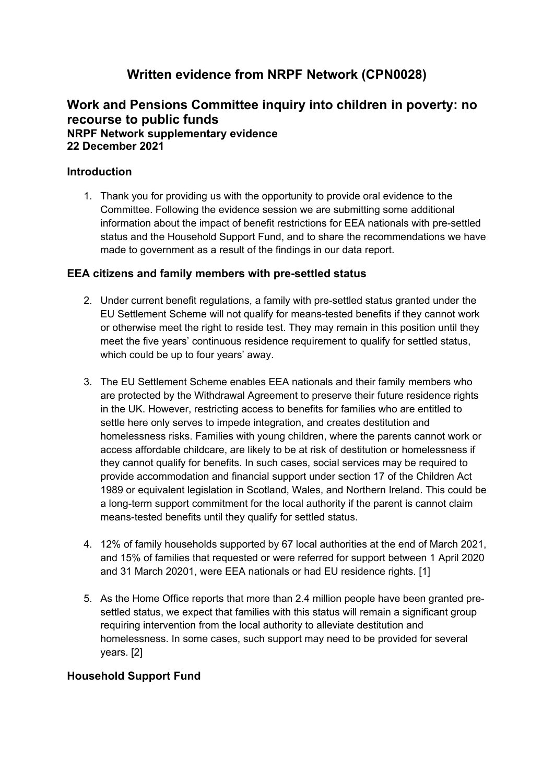# **Written evidence from NRPF Network (CPN0028)**

## **Work and Pensions Committee inquiry into children in poverty: no recourse to public funds NRPF Network supplementary evidence 22 December 2021**

#### **Introduction**

1. Thank you for providing us with the opportunity to provide oral evidence to the Committee. Following the evidence session we are submitting some additional information about the impact of benefit restrictions for EEA nationals with pre-settled status and the Household Support Fund, and to share the recommendations we have made to government as a result of the findings in our data report.

#### **EEA citizens and family members with pre-settled status**

- 2. Under current benefit regulations, a family with pre-settled status granted under the EU Settlement Scheme will not qualify for means-tested benefits if they cannot work or otherwise meet the right to reside test. They may remain in this position until they meet the five years' continuous residence requirement to qualify for settled status, which could be up to four years' away.
- 3. The EU Settlement Scheme enables EEA nationals and their family members who are protected by the Withdrawal Agreement to preserve their future residence rights in the UK. However, restricting access to benefits for families who are entitled to settle here only serves to impede integration, and creates destitution and homelessness risks. Families with young children, where the parents cannot work or access affordable childcare, are likely to be at risk of destitution or homelessness if they cannot qualify for benefits. In such cases, social services may be required to provide accommodation and financial support under section 17 of the Children Act 1989 or equivalent legislation in Scotland, Wales, and Northern Ireland. This could be a long-term support commitment for the local authority if the parent is cannot claim means-tested benefits until they qualify for settled status.
- 4. 12% of family households supported by 67 local authorities at the end of March 2021, and 15% of families that requested or were referred for support between 1 April 2020 and 31 March 20201, were EEA nationals or had EU residence rights. [1]
- 5. As the Home Office reports that more than 2.4 million people have been granted presettled status, we expect that families with this status will remain a significant group requiring intervention from the local authority to alleviate destitution and homelessness. In some cases, such support may need to be provided for several years. [2]

### **Household Support Fund**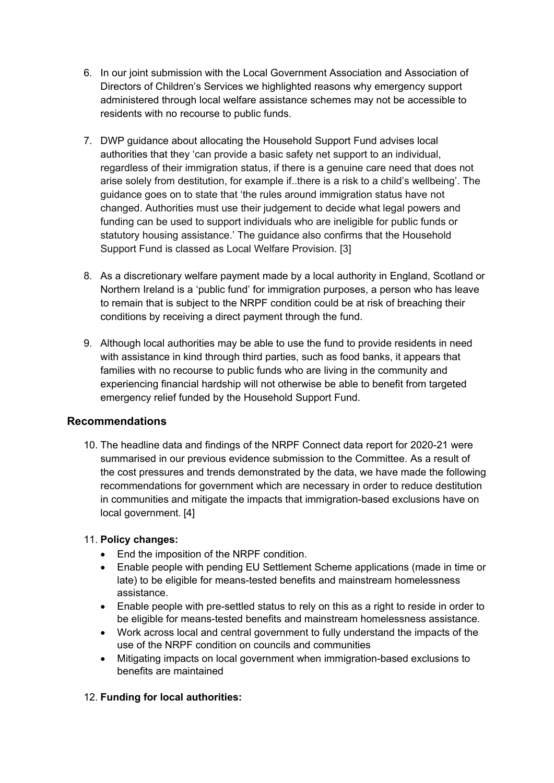- 6. In our joint submission with the Local Government Association and Association of Directors of Children's Services we highlighted reasons why emergency support administered through local welfare assistance schemes may not be accessible to residents with no recourse to public funds.
- 7. DWP guidance about allocating the Household Support Fund advises local authorities that they 'can provide a basic safety net support to an individual, regardless of their immigration status, if there is a genuine care need that does not arise solely from destitution, for example if..there is a risk to a child's wellbeing'. The guidance goes on to state that 'the rules around immigration status have not changed. Authorities must use their judgement to decide what legal powers and funding can be used to support individuals who are ineligible for public funds or statutory housing assistance.' The guidance also confirms that the Household Support Fund is classed as Local Welfare Provision. [3]
- 8. As a discretionary welfare payment made by a local authority in England, Scotland or Northern Ireland is a 'public fund' for immigration purposes, a person who has leave to remain that is subject to the NRPF condition could be at risk of breaching their conditions by receiving a direct payment through the fund.
- 9. Although local authorities may be able to use the fund to provide residents in need with assistance in kind through third parties, such as food banks, it appears that families with no recourse to public funds who are living in the community and experiencing financial hardship will not otherwise be able to benefit from targeted emergency relief funded by the Household Support Fund.

### **Recommendations**

10. The headline data and findings of the NRPF Connect data report for 2020-21 were summarised in our previous evidence submission to the Committee. As a result of the cost pressures and trends demonstrated by the data, we have made the following recommendations for government which are necessary in order to reduce destitution in communities and mitigate the impacts that immigration-based exclusions have on local government. [4]

### 11. **Policy changes:**

- End the imposition of the NRPF condition.
- Enable people with pending EU Settlement Scheme applications (made in time or late) to be eligible for means-tested benefits and mainstream homelessness assistance.
- Enable people with pre-settled status to rely on this as a right to reside in order to be eligible for means-tested benefits and mainstream homelessness assistance.
- Work across local and central government to fully understand the impacts of the use of the NRPF condition on councils and communities
- Mitigating impacts on local government when immigration-based exclusions to benefits are maintained

### 12. **Funding for local authorities:**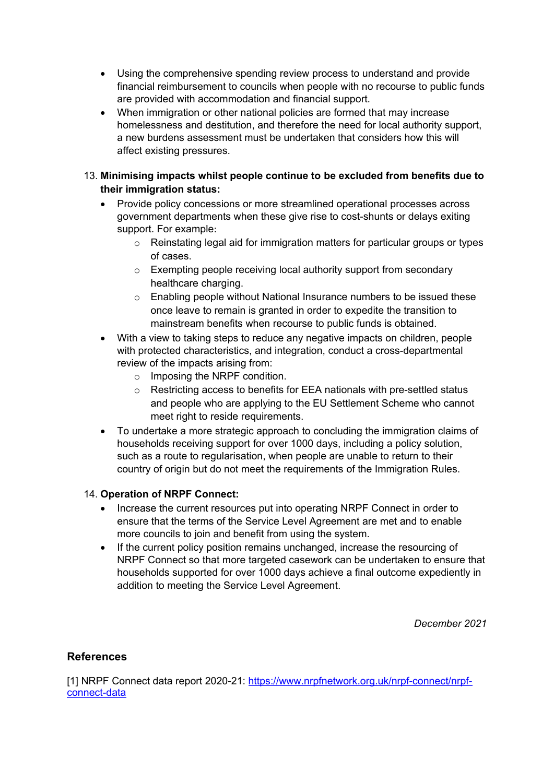- Using the comprehensive spending review process to understand and provide financial reimbursement to councils when people with no recourse to public funds are provided with accommodation and financial support.
- When immigration or other national policies are formed that may increase homelessness and destitution, and therefore the need for local authority support, a new burdens assessment must be undertaken that considers how this will affect existing pressures.

### 13. **Minimising impacts whilst people continue to be excluded from benefits due to their immigration status:**

- Provide policy concessions or more streamlined operational processes across government departments when these give rise to cost-shunts or delays exiting support. For example:
	- $\circ$  Reinstating legal aid for immigration matters for particular groups or types of cases.
	- o Exempting people receiving local authority support from secondary healthcare charging.
	- $\circ$  Enabling people without National Insurance numbers to be issued these once leave to remain is granted in order to expedite the transition to mainstream benefits when recourse to public funds is obtained.
- With a view to taking steps to reduce any negative impacts on children, people with protected characteristics, and integration, conduct a cross-departmental review of the impacts arising from:
	- o Imposing the NRPF condition.
	- o Restricting access to benefits for EEA nationals with pre-settled status and people who are applying to the EU Settlement Scheme who cannot meet right to reside requirements.
- To undertake a more strategic approach to concluding the immigration claims of households receiving support for over 1000 days, including a policy solution, such as a route to regularisation, when people are unable to return to their country of origin but do not meet the requirements of the Immigration Rules.

### 14. **Operation of NRPF Connect:**

- Increase the current resources put into operating NRPF Connect in order to ensure that the terms of the Service Level Agreement are met and to enable more councils to join and benefit from using the system.
- If the current policy position remains unchanged, increase the resourcing of NRPF Connect so that more targeted casework can be undertaken to ensure that households supported for over 1000 days achieve a final outcome expediently in addition to meeting the Service Level Agreement.

*December 2021*

### **References**

[1] NRPF Connect data report 2020-21: [https://www.nrpfnetwork.org.uk/nrpf-connect/nrpf](https://www.nrpfnetwork.org.uk/nrpf-connect/nrpf-connect-data)[connect-data](https://www.nrpfnetwork.org.uk/nrpf-connect/nrpf-connect-data)